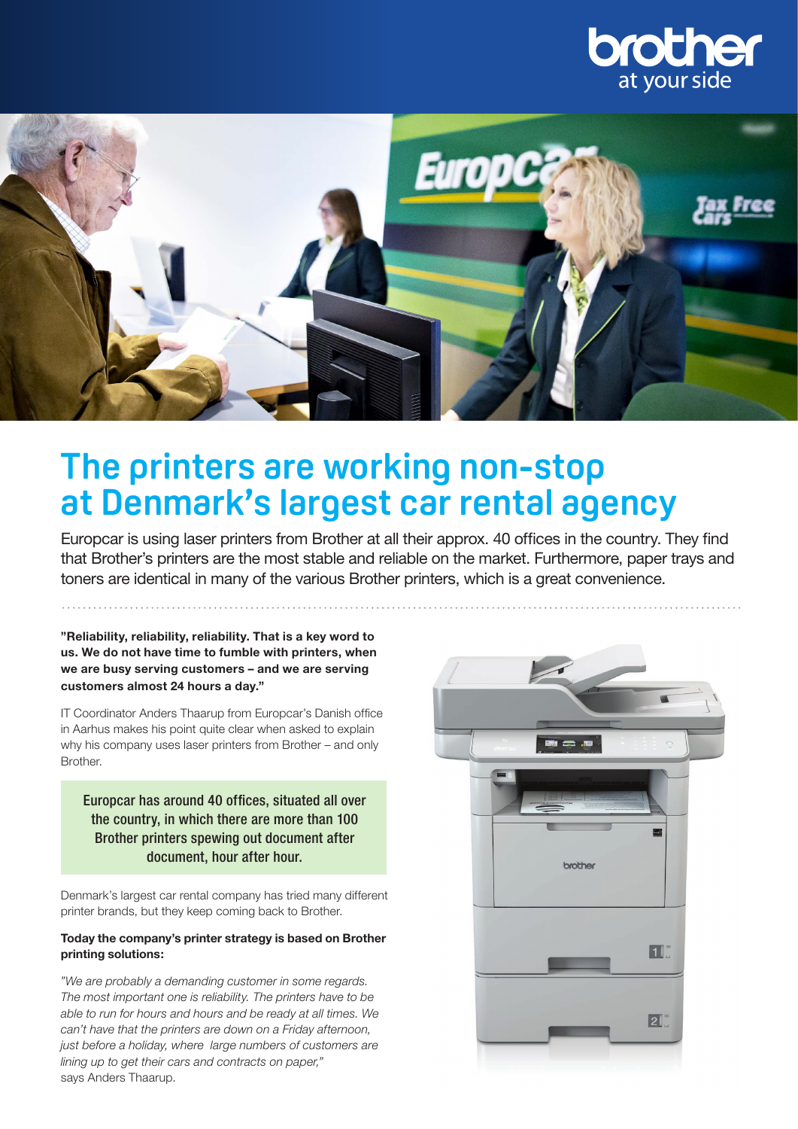



# **The printers are working non-stop at Denmark's largest car rental agency**

Europcar is using laser printers from Brother at all their approx. 40 offices in the country. They find that Brother's printers are the most stable and reliable on the market. Furthermore, paper trays and toners are identical in many of the various Brother printers, which is a great convenience.

**"Reliability, reliability, reliability. That is a key word to us. We do not have time to fumble with printers, when we are busy serving customers – and we are serving customers almost 24 hours a day."**

IT Coordinator Anders Thaarup from Europcar's Danish office in Aarhus makes his point quite clear when asked to explain why his company uses laser printers from Brother – and only Brother.

Europcar has around 40 offices, situated all over the country, in which there are more than 100 Brother printers spewing out document after document, hour after hour.

Denmark's largest car rental company has tried many different printer brands, but they keep coming back to Brother.

#### **Today the company's printer strategy is based on Brother printing solutions:**

*"We are probably a demanding customer in some regards. The most important one is reliability. The printers have to be able to run for hours and hours and be ready at all times. We can't have that the printers are down on a Friday afternoon, just before a holiday, where large numbers of customers are lining up to get their cars and contracts on paper,"*  says Anders Thaarup.